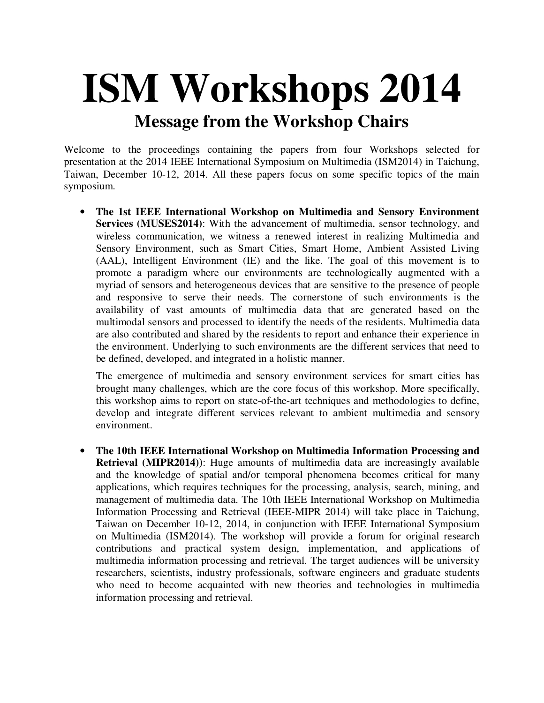## **ISM Workshops 2014 Message from the Workshop Chairs**

Welcome to the proceedings containing the papers from four Workshops selected for presentation at the 2014 IEEE International Symposium on Multimedia (ISM2014) in Taichung, Taiwan, December 10-12, 2014. All these papers focus on some specific topics of the main symposium.

• **The 1st IEEE International Workshop on Multimedia and Sensory Environment Services (MUSES2014)**: With the advancement of multimedia, sensor technology, and wireless communication, we witness a renewed interest in realizing Multimedia and Sensory Environment, such as Smart Cities, Smart Home, Ambient Assisted Living (AAL), Intelligent Environment (IE) and the like. The goal of this movement is to promote a paradigm where our environments are technologically augmented with a myriad of sensors and heterogeneous devices that are sensitive to the presence of people and responsive to serve their needs. The cornerstone of such environments is the availability of vast amounts of multimedia data that are generated based on the multimodal sensors and processed to identify the needs of the residents. Multimedia data are also contributed and shared by the residents to report and enhance their experience in the environment. Underlying to such environments are the different services that need to be defined, developed, and integrated in a holistic manner.

The emergence of multimedia and sensory environment services for smart cities has brought many challenges, which are the core focus of this workshop. More specifically, this workshop aims to report on state-of-the-art techniques and methodologies to define, develop and integrate different services relevant to ambient multimedia and sensory environment.

• **The 10th IEEE International Workshop on Multimedia Information Processing and Retrieval (MIPR2014))**: Huge amounts of multimedia data are increasingly available and the knowledge of spatial and/or temporal phenomena becomes critical for many applications, which requires techniques for the processing, analysis, search, mining, and management of multimedia data. The 10th IEEE International Workshop on Multimedia Information Processing and Retrieval (IEEE-MIPR 2014) will take place in Taichung, Taiwan on December 10-12, 2014, in conjunction with IEEE International Symposium on Multimedia (ISM2014). The workshop will provide a forum for original research contributions and practical system design, implementation, and applications of multimedia information processing and retrieval. The target audiences will be university researchers, scientists, industry professionals, software engineers and graduate students who need to become acquainted with new theories and technologies in multimedia information processing and retrieval.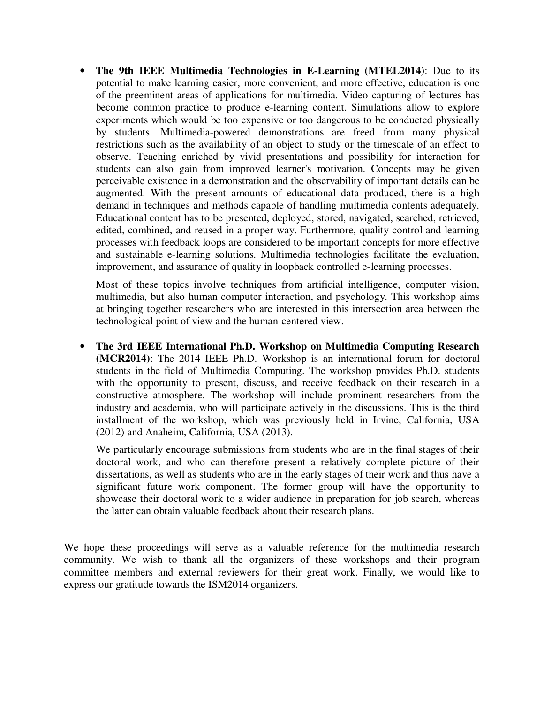• **The 9th IEEE Multimedia Technologies in E-Learning (MTEL2014)**: Due to its potential to make learning easier, more convenient, and more effective, education is one of the preeminent areas of applications for multimedia. Video capturing of lectures has become common practice to produce e-learning content. Simulations allow to explore experiments which would be too expensive or too dangerous to be conducted physically by students. Multimedia-powered demonstrations are freed from many physical restrictions such as the availability of an object to study or the timescale of an effect to observe. Teaching enriched by vivid presentations and possibility for interaction for students can also gain from improved learner's motivation. Concepts may be given perceivable existence in a demonstration and the observability of important details can be augmented. With the present amounts of educational data produced, there is a high demand in techniques and methods capable of handling multimedia contents adequately. Educational content has to be presented, deployed, stored, navigated, searched, retrieved, edited, combined, and reused in a proper way. Furthermore, quality control and learning processes with feedback loops are considered to be important concepts for more effective and sustainable e-learning solutions. Multimedia technologies facilitate the evaluation, improvement, and assurance of quality in loopback controlled e-learning processes.

Most of these topics involve techniques from artificial intelligence, computer vision, multimedia, but also human computer interaction, and psychology. This workshop aims at bringing together researchers who are interested in this intersection area between the technological point of view and the human-centered view.

• **The 3rd IEEE International Ph.D. Workshop on Multimedia Computing Research (MCR2014)**: The 2014 IEEE Ph.D. Workshop is an international forum for doctoral students in the field of Multimedia Computing. The workshop provides Ph.D. students with the opportunity to present, discuss, and receive feedback on their research in a constructive atmosphere. The workshop will include prominent researchers from the industry and academia, who will participate actively in the discussions. This is the third installment of the workshop, which was previously held in Irvine, California, USA (2012) and Anaheim, California, USA (2013).

We particularly encourage submissions from students who are in the final stages of their doctoral work, and who can therefore present a relatively complete picture of their dissertations, as well as students who are in the early stages of their work and thus have a significant future work component. The former group will have the opportunity to showcase their doctoral work to a wider audience in preparation for job search, whereas the latter can obtain valuable feedback about their research plans.

We hope these proceedings will serve as a valuable reference for the multimedia research community. We wish to thank all the organizers of these workshops and their program committee members and external reviewers for their great work. Finally, we would like to express our gratitude towards the ISM2014 organizers.